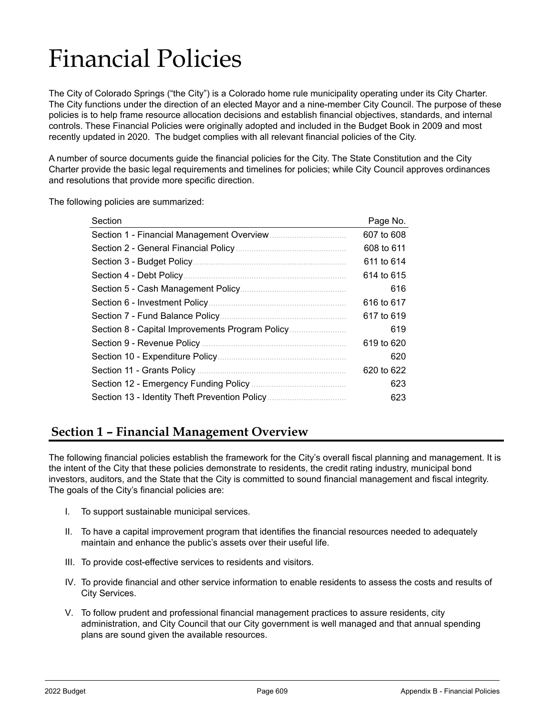# Financial Policies

The City of Colorado Springs ("the City") is a Colorado home rule municipality operating under its City Charter. The City functions under the direction of an elected Mayor and a nine-member City Council. The purpose of these policies is to help frame resource allocation decisions and establish financial objectives, standards, and internal controls. These Financial Policies were originally adopted and included in the Budget Book in 2009 and most recently updated in 2020. The budget complies with all relevant financial policies of the City.

A number of source documents guide the financial policies for the City. The State Constitution and the City Charter provide the basic legal requirements and timelines for policies; while City Council approves ordinances and resolutions that provide more specific direction.

The following policies are summarized:

| Section                                         | Page No.   |
|-------------------------------------------------|------------|
|                                                 | 607 to 608 |
|                                                 | 608 to 611 |
|                                                 | 611 to 614 |
| Section 4 - Debt Policy.                        | 614 to 615 |
| Section 5 - Cash Management Policy              | 616        |
| Section 6 - Investment Policy.                  | 616 to 617 |
|                                                 | 617 to 619 |
| Section 8 - Capital Improvements Program Policy | 619        |
| Section 9 - Revenue Policy                      | 619 to 620 |
|                                                 | 620        |
|                                                 | 620 to 622 |
| Section 12 - Emergency Funding Policy           | 623        |
| Section 13 - Identity Theft Prevention Policy.  | 623        |

# **Section 1 – Financial Management Overview**

The following financial policies establish the framework for the City's overall fiscal planning and management. It is the intent of the City that these policies demonstrate to residents, the credit rating industry, municipal bond investors, auditors, and the State that the City is committed to sound financial management and fiscal integrity. The goals of the City's financial policies are:

- I. To support sustainable municipal services.
- II. To have a capital improvement program that identifies the financial resources needed to adequately maintain and enhance the public's assets over their useful life.
- III. To provide cost-effective services to residents and visitors.
- IV. To provide financial and other service information to enable residents to assess the costs and results of City Services.
- V. To follow prudent and professional financial management practices to assure residents, city administration, and City Council that our City government is well managed and that annual spending plans are sound given the available resources.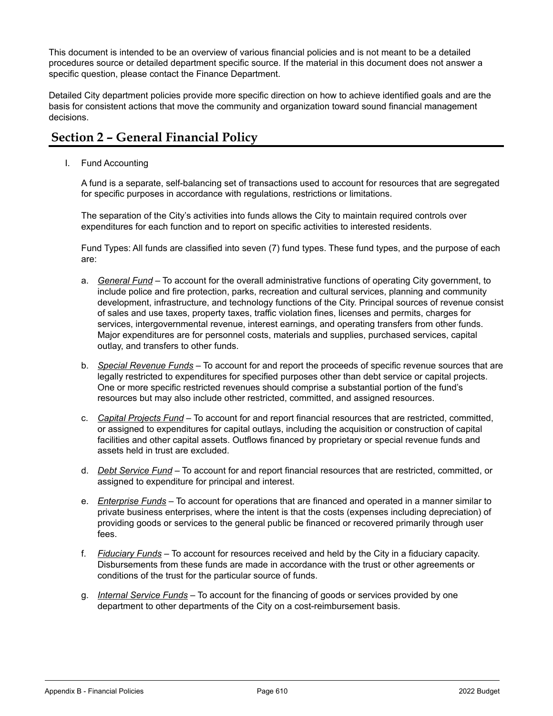This document is intended to be an overview of various financial policies and is not meant to be a detailed procedures source or detailed department specific source. If the material in this document does not answer a specific question, please contact the Finance Department.

Detailed City department policies provide more specific direction on how to achieve identified goals and are the basis for consistent actions that move the community and organization toward sound financial management decisions.

## **Section 2 – General Financial Policy**

I. Fund Accounting

A fund is a separate, self-balancing set of transactions used to account for resources that are segregated for specific purposes in accordance with regulations, restrictions or limitations.

The separation of the City's activities into funds allows the City to maintain required controls over expenditures for each function and to report on specific activities to interested residents.

Fund Types: All funds are classified into seven (7) fund types. These fund types, and the purpose of each are:

- a. *General Fund* To account for the overall administrative functions of operating City government, to include police and fire protection, parks, recreation and cultural services, planning and community development, infrastructure, and technology functions of the City. Principal sources of revenue consist of sales and use taxes, property taxes, traffic violation fines, licenses and permits, charges for services, intergovernmental revenue, interest earnings, and operating transfers from other funds. Major expenditures are for personnel costs, materials and supplies, purchased services, capital outlay, and transfers to other funds.
- b. *Special Revenue Funds* To account for and report the proceeds of specific revenue sources that are legally restricted to expenditures for specified purposes other than debt service or capital projects. One or more specific restricted revenues should comprise a substantial portion of the fund's resources but may also include other restricted, committed, and assigned resources.
- c. *Capital Projects Fund* To account for and report financial resources that are restricted, committed, or assigned to expenditures for capital outlays, including the acquisition or construction of capital facilities and other capital assets. Outflows financed by proprietary or special revenue funds and assets held in trust are excluded.
- d. *Debt Service Fund* To account for and report financial resources that are restricted, committed, or assigned to expenditure for principal and interest.
- e. *Enterprise Funds –* To account for operations that are financed and operated in a manner similar to private business enterprises, where the intent is that the costs (expenses including depreciation) of providing goods or services to the general public be financed or recovered primarily through user fees.
- f. *Fiduciary Funds –* To account for resources received and held by the City in a fiduciary capacity. Disbursements from these funds are made in accordance with the trust or other agreements or conditions of the trust for the particular source of funds.
- g. *Internal Service Funds –* To account for the financing of goods or services provided by one department to other departments of the City on a cost-reimbursement basis.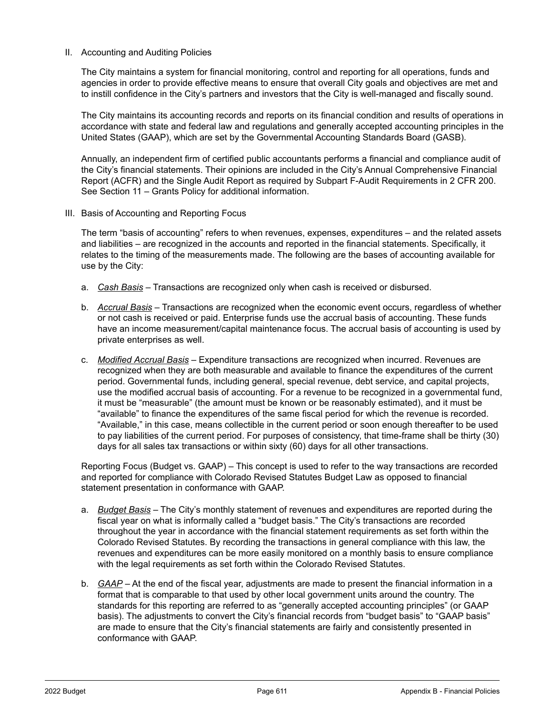#### II. Accounting and Auditing Policies

The City maintains a system for financial monitoring, control and reporting for all operations, funds and agencies in order to provide effective means to ensure that overall City goals and objectives are met and to instill confidence in the City's partners and investors that the City is well-managed and fiscally sound.

The City maintains its accounting records and reports on its financial condition and results of operations in accordance with state and federal law and regulations and generally accepted accounting principles in the United States (GAAP), which are set by the Governmental Accounting Standards Board (GASB).

Annually, an independent firm of certified public accountants performs a financial and compliance audit of the City's financial statements. Their opinions are included in the City's Annual Comprehensive Financial Report (ACFR) and the Single Audit Report as required by Subpart F-Audit Requirements in 2 CFR 200. See Section 11 – Grants Policy for additional information.

III. Basis of Accounting and Reporting Focus

The term "basis of accounting" refers to when revenues, expenses, expenditures – and the related assets and liabilities – are recognized in the accounts and reported in the financial statements. Specifically, it relates to the timing of the measurements made. The following are the bases of accounting available for use by the City:

- a. *Cash Basis* Transactions are recognized only when cash is received or disbursed.
- b. *Accrual Basis* Transactions are recognized when the economic event occurs, regardless of whether or not cash is received or paid. Enterprise funds use the accrual basis of accounting. These funds have an income measurement/capital maintenance focus. The accrual basis of accounting is used by private enterprises as well.
- c. *Modified Accrual Basis* Expenditure transactions are recognized when incurred. Revenues are recognized when they are both measurable and available to finance the expenditures of the current period. Governmental funds, including general, special revenue, debt service, and capital projects, use the modified accrual basis of accounting. For a revenue to be recognized in a governmental fund, it must be "measurable" (the amount must be known or be reasonably estimated), and it must be "available" to finance the expenditures of the same fiscal period for which the revenue is recorded. "Available," in this case, means collectible in the current period or soon enough thereafter to be used to pay liabilities of the current period. For purposes of consistency, that time-frame shall be thirty (30) days for all sales tax transactions or within sixty (60) days for all other transactions.

Reporting Focus (Budget vs. GAAP) – This concept is used to refer to the way transactions are recorded and reported for compliance with Colorado Revised Statutes Budget Law as opposed to financial statement presentation in conformance with GAAP.

- a. *Budget Basis* The City's monthly statement of revenues and expenditures are reported during the fiscal year on what is informally called a "budget basis." The City's transactions are recorded throughout the year in accordance with the financial statement requirements as set forth within the Colorado Revised Statutes. By recording the transactions in general compliance with this law, the revenues and expenditures can be more easily monitored on a monthly basis to ensure compliance with the legal requirements as set forth within the Colorado Revised Statutes.
- b. *GAAP* At the end of the fiscal year, adjustments are made to present the financial information in a format that is comparable to that used by other local government units around the country. The standards for this reporting are referred to as "generally accepted accounting principles" (or GAAP basis). The adjustments to convert the City's financial records from "budget basis" to "GAAP basis" are made to ensure that the City's financial statements are fairly and consistently presented in conformance with GAAP.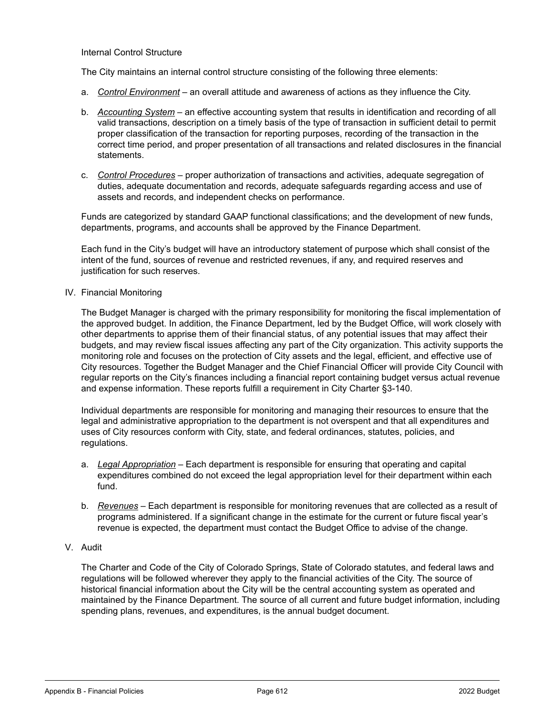#### Internal Control Structure

The City maintains an internal control structure consisting of the following three elements:

- a. *Control Environment* an overall attitude and awareness of actions as they influence the City.
- b. *Accounting System* an effective accounting system that results in identification and recording of all valid transactions, description on a timely basis of the type of transaction in sufficient detail to permit proper classification of the transaction for reporting purposes, recording of the transaction in the correct time period, and proper presentation of all transactions and related disclosures in the financial statements.
- c. *Control Procedures* proper authorization of transactions and activities, adequate segregation of duties, adequate documentation and records, adequate safeguards regarding access and use of assets and records, and independent checks on performance.

Funds are categorized by standard GAAP functional classifications; and the development of new funds, departments, programs, and accounts shall be approved by the Finance Department.

Each fund in the City's budget will have an introductory statement of purpose which shall consist of the intent of the fund, sources of revenue and restricted revenues, if any, and required reserves and justification for such reserves.

IV. Financial Monitoring

The Budget Manager is charged with the primary responsibility for monitoring the fiscal implementation of the approved budget. In addition, the Finance Department, led by the Budget Office, will work closely with other departments to apprise them of their financial status, of any potential issues that may affect their budgets, and may review fiscal issues affecting any part of the City organization. This activity supports the monitoring role and focuses on the protection of City assets and the legal, efficient, and effective use of City resources. Together the Budget Manager and the Chief Financial Officer will provide City Council with regular reports on the City's finances including a financial report containing budget versus actual revenue and expense information. These reports fulfill a requirement in City Charter §3-140.

Individual departments are responsible for monitoring and managing their resources to ensure that the legal and administrative appropriation to the department is not overspent and that all expenditures and uses of City resources conform with City, state, and federal ordinances, statutes, policies, and regulations.

- a. *Legal Appropriation* Each department is responsible for ensuring that operating and capital expenditures combined do not exceed the legal appropriation level for their department within each fund.
- b. *Revenues* Each department is responsible for monitoring revenues that are collected as a result of programs administered. If a significant change in the estimate for the current or future fiscal year's revenue is expected, the department must contact the Budget Office to advise of the change.
- V. Audit

The Charter and Code of the City of Colorado Springs, State of Colorado statutes, and federal laws and regulations will be followed wherever they apply to the financial activities of the City. The source of historical financial information about the City will be the central accounting system as operated and maintained by the Finance Department. The source of all current and future budget information, including spending plans, revenues, and expenditures, is the annual budget document.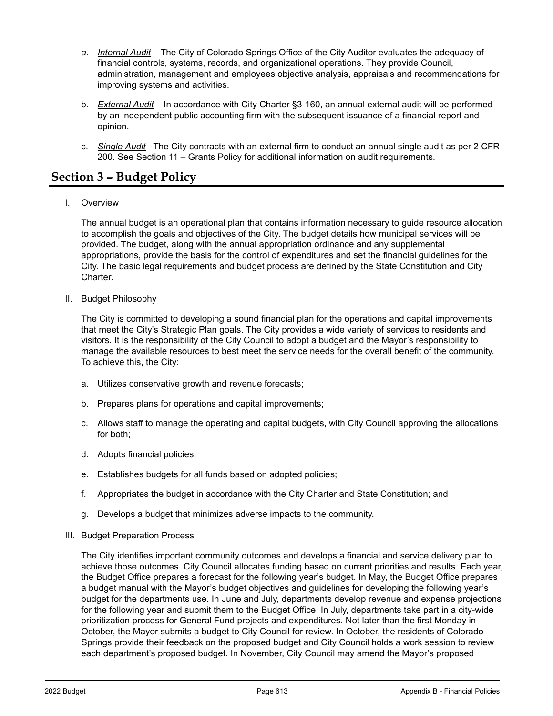- *a. Internal Audit* The City of Colorado Springs Office of the City Auditor evaluates the adequacy of financial controls, systems, records, and organizational operations. They provide Council, administration, management and employees objective analysis, appraisals and recommendations for improving systems and activities.
- b. *External Audit* In accordance with City Charter §3-160, an annual external audit will be performed by an independent public accounting firm with the subsequent issuance of a financial report and opinion.
- c. *Single Audit* –The City contracts with an external firm to conduct an annual single audit as per 2 CFR 200. See Section 11 – Grants Policy for additional information on audit requirements.

## **Section 3 – Budget Policy**

I. Overview

The annual budget is an operational plan that contains information necessary to guide resource allocation to accomplish the goals and objectives of the City. The budget details how municipal services will be provided. The budget, along with the annual appropriation ordinance and any supplemental appropriations, provide the basis for the control of expenditures and set the financial guidelines for the City. The basic legal requirements and budget process are defined by the State Constitution and City Charter.

II. Budget Philosophy

The City is committed to developing a sound financial plan for the operations and capital improvements that meet the City's Strategic Plan goals. The City provides a wide variety of services to residents and visitors. It is the responsibility of the City Council to adopt a budget and the Mayor's responsibility to manage the available resources to best meet the service needs for the overall benefit of the community. To achieve this, the City:

- a. Utilizes conservative growth and revenue forecasts;
- b. Prepares plans for operations and capital improvements;
- c. Allows staff to manage the operating and capital budgets, with City Council approving the allocations for both;
- d. Adopts financial policies;
- e. Establishes budgets for all funds based on adopted policies;
- f. Appropriates the budget in accordance with the City Charter and State Constitution; and
- g. Develops a budget that minimizes adverse impacts to the community.
- III. Budget Preparation Process

The City identifies important community outcomes and develops a financial and service delivery plan to achieve those outcomes. City Council allocates funding based on current priorities and results. Each year, the Budget Office prepares a forecast for the following year's budget. In May, the Budget Office prepares a budget manual with the Mayor's budget objectives and guidelines for developing the following year's budget for the departments use. In June and July, departments develop revenue and expense projections for the following year and submit them to the Budget Office. In July, departments take part in a city-wide prioritization process for General Fund projects and expenditures. Not later than the first Monday in October, the Mayor submits a budget to City Council for review. In October, the residents of Colorado Springs provide their feedback on the proposed budget and City Council holds a work session to review each department's proposed budget. In November, City Council may amend the Mayor's proposed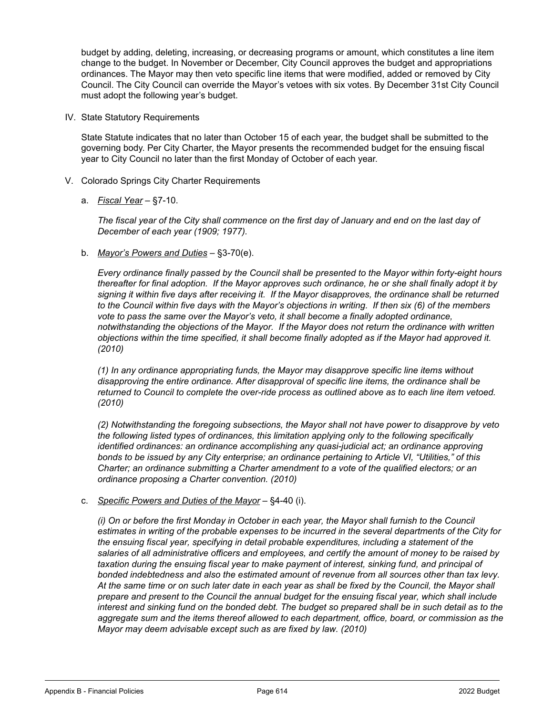budget by adding, deleting, increasing, or decreasing programs or amount, which constitutes a line item change to the budget. In November or December, City Council approves the budget and appropriations ordinances. The Mayor may then veto specific line items that were modified, added or removed by City Council. The City Council can override the Mayor's vetoes with six votes. By December 31st City Council must adopt the following year's budget.

IV. State Statutory Requirements

State Statute indicates that no later than October 15 of each year, the budget shall be submitted to the governing body. Per City Charter, the Mayor presents the recommended budget for the ensuing fiscal year to City Council no later than the first Monday of October of each year.

- V. Colorado Springs City Charter Requirements
	- a. *Fiscal Year* §7-10.

*The fiscal year of the City shall commence on the first day of January and end on the last day of December of each year (1909; 1977).*

b. *Mayor's Powers and Duties* – §3-70(e).

*Every ordinance finally passed by the Council shall be presented to the Mayor within forty-eight hours thereafter for final adoption. If the Mayor approves such ordinance, he or she shall finally adopt it by*  signing it within five days after receiving it. If the Mayor disapproves, the ordinance shall be returned *to the Council within five days with the Mayor's objections in writing. If then six (6) of the members vote to pass the same over the Mayor's veto, it shall become a finally adopted ordinance, notwithstanding the objections of the Mayor. If the Mayor does not return the ordinance with written objections within the time specified, it shall become finally adopted as if the Mayor had approved it. (2010)*

*(1) In any ordinance appropriating funds, the Mayor may disapprove specific line items without disapproving the entire ordinance. After disapproval of specific line items, the ordinance shall be returned to Council to complete the over-ride process as outlined above as to each line item vetoed. (2010)*

*(2) Notwithstanding the foregoing subsections, the Mayor shall not have power to disapprove by veto the following listed types of ordinances, this limitation applying only to the following specifically identified ordinances: an ordinance accomplishing any quasi-judicial act; an ordinance approving bonds to be issued by any City enterprise; an ordinance pertaining to Article VI, "Utilities," of this Charter; an ordinance submitting a Charter amendment to a vote of the qualified electors; or an ordinance proposing a Charter convention. (2010)*

c. *Specific Powers and Duties of the Mayor* – §4-40 (i).

*(i) On or before the first Monday in October in each year, the Mayor shall furnish to the Council estimates in writing of the probable expenses to be incurred in the several departments of the City for the ensuing fiscal year, specifying in detail probable expenditures, including a statement of the salaries of all administrative officers and employees, and certify the amount of money to be raised by taxation during the ensuing fiscal year to make payment of interest, sinking fund, and principal of bonded indebtedness and also the estimated amount of revenue from all sources other than tax levy. At the same time or on such later date in each year as shall be fixed by the Council, the Mayor shall prepare and present to the Council the annual budget for the ensuing fiscal year, which shall include*  interest and sinking fund on the bonded debt. The budget so prepared shall be in such detail as to the *aggregate sum and the items thereof allowed to each department, office, board, or commission as the Mayor may deem advisable except such as are fixed by law. (2010)*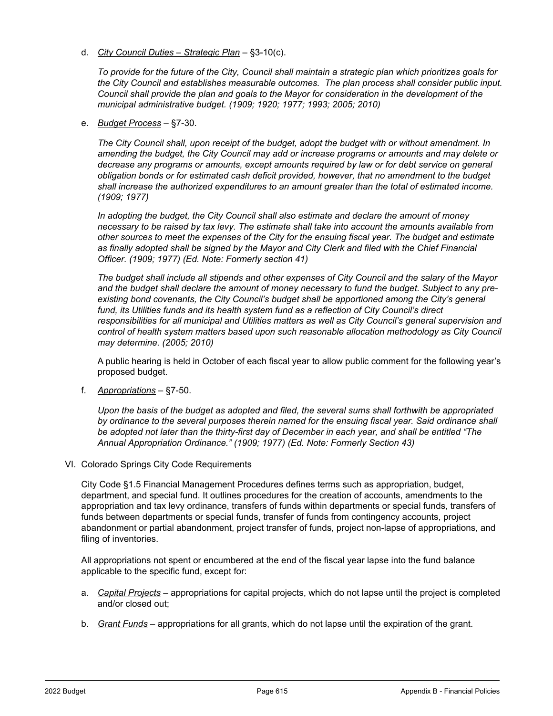d. *City Council Duties – Strategic Plan* – §3-10(c).

*To provide for the future of the City, Council shall maintain a strategic plan which prioritizes goals for the City Council and establishes measurable outcomes. The plan process shall consider public input. Council shall provide the plan and goals to the Mayor for consideration in the development of the municipal administrative budget. (1909; 1920; 1977; 1993; 2005; 2010)*

e. *Budget Process* – §7-30.

*The City Council shall, upon receipt of the budget, adopt the budget with or without amendment. In amending the budget, the City Council may add or increase programs or amounts and may delete or decrease any programs or amounts, except amounts required by law or for debt service on general obligation bonds or for estimated cash deficit provided, however, that no amendment to the budget shall increase the authorized expenditures to an amount greater than the total of estimated income. (1909; 1977)*

*In adopting the budget, the City Council shall also estimate and declare the amount of money necessary to be raised by tax levy. The estimate shall take into account the amounts available from other sources to meet the expenses of the City for the ensuing fiscal year. The budget and estimate*  as finally adopted shall be signed by the Mayor and City Clerk and filed with the Chief Financial *Officer. (1909; 1977) (Ed. Note: Formerly section 41)* 

*The budget shall include all stipends and other expenses of City Council and the salary of the Mayor and the budget shall declare the amount of money necessary to fund the budget. Subject to any pre*existing bond covenants, the City Council's budget shall be apportioned among the City's general *fund, its Utilities funds and its health system fund as a reflection of City Council's direct responsibilities for all municipal and Utilities matters as well as City Council's general supervision and control of health system matters based upon such reasonable allocation methodology as City Council may determine. (2005; 2010)*

A public hearing is held in October of each fiscal year to allow public comment for the following year's proposed budget.

f. *Appropriations* – §7-50.

*Upon the basis of the budget as adopted and filed, the several sums shall forthwith be appropriated by ordinance to the several purposes therein named for the ensuing fiscal year. Said ordinance shall be adopted not later than the thirty-first day of December in each year, and shall be entitled "The Annual Appropriation Ordinance." (1909; 1977) (Ed. Note: Formerly Section 43)*

VI. Colorado Springs City Code Requirements

City Code §1.5 Financial Management Procedures defines terms such as appropriation, budget, department, and special fund. It outlines procedures for the creation of accounts, amendments to the appropriation and tax levy ordinance, transfers of funds within departments or special funds, transfers of funds between departments or special funds, transfer of funds from contingency accounts, project abandonment or partial abandonment, project transfer of funds, project non-lapse of appropriations, and filing of inventories.

All appropriations not spent or encumbered at the end of the fiscal year lapse into the fund balance applicable to the specific fund, except for:

- a. *Capital Projects* appropriations for capital projects, which do not lapse until the project is completed and/or closed out;
- b. *Grant Funds* appropriations for all grants, which do not lapse until the expiration of the grant.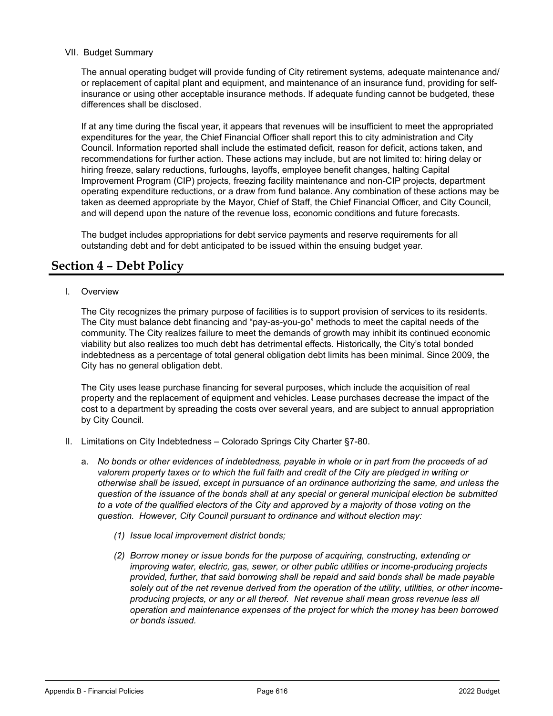#### VII. Budget Summary

The annual operating budget will provide funding of City retirement systems, adequate maintenance and/ or replacement of capital plant and equipment, and maintenance of an insurance fund, providing for selfinsurance or using other acceptable insurance methods. If adequate funding cannot be budgeted, these differences shall be disclosed.

If at any time during the fiscal year, it appears that revenues will be insufficient to meet the appropriated expenditures for the year, the Chief Financial Officer shall report this to city administration and City Council. Information reported shall include the estimated deficit, reason for deficit, actions taken, and recommendations for further action. These actions may include, but are not limited to: hiring delay or hiring freeze, salary reductions, furloughs, layoffs, employee benefit changes, halting Capital Improvement Program (CIP) projects, freezing facility maintenance and non-CIP projects, department operating expenditure reductions, or a draw from fund balance. Any combination of these actions may be taken as deemed appropriate by the Mayor, Chief of Staff, the Chief Financial Officer, and City Council, and will depend upon the nature of the revenue loss, economic conditions and future forecasts.

The budget includes appropriations for debt service payments and reserve requirements for all outstanding debt and for debt anticipated to be issued within the ensuing budget year.

## **Section 4 – Debt Policy**

I. Overview

The City recognizes the primary purpose of facilities is to support provision of services to its residents. The City must balance debt financing and "pay-as-you-go" methods to meet the capital needs of the community. The City realizes failure to meet the demands of growth may inhibit its continued economic viability but also realizes too much debt has detrimental effects. Historically, the City's total bonded indebtedness as a percentage of total general obligation debt limits has been minimal. Since 2009, the City has no general obligation debt.

The City uses lease purchase financing for several purposes, which include the acquisition of real property and the replacement of equipment and vehicles. Lease purchases decrease the impact of the cost to a department by spreading the costs over several years, and are subject to annual appropriation by City Council.

- II. Limitations on City Indebtedness Colorado Springs City Charter §7-80.
	- a. *No bonds or other evidences of indebtedness, payable in whole or in part from the proceeds of ad valorem property taxes or to which the full faith and credit of the City are pledged in writing or otherwise shall be issued, except in pursuance of an ordinance authorizing the same, and unless the question of the issuance of the bonds shall at any special or general municipal election be submitted*  to a vote of the qualified electors of the City and approved by a majority of those voting on the *question. However, City Council pursuant to ordinance and without election may:* 
		- *(1) Issue local improvement district bonds;*
		- *(2) Borrow money or issue bonds for the purpose of acquiring, constructing, extending or improving water, electric, gas, sewer, or other public utilities or income-producing projects provided, further, that said borrowing shall be repaid and said bonds shall be made payable solely out of the net revenue derived from the operation of the utility, utilities, or other incomeproducing projects, or any or all thereof. Net revenue shall mean gross revenue less all operation and maintenance expenses of the project for which the money has been borrowed or bonds issued.*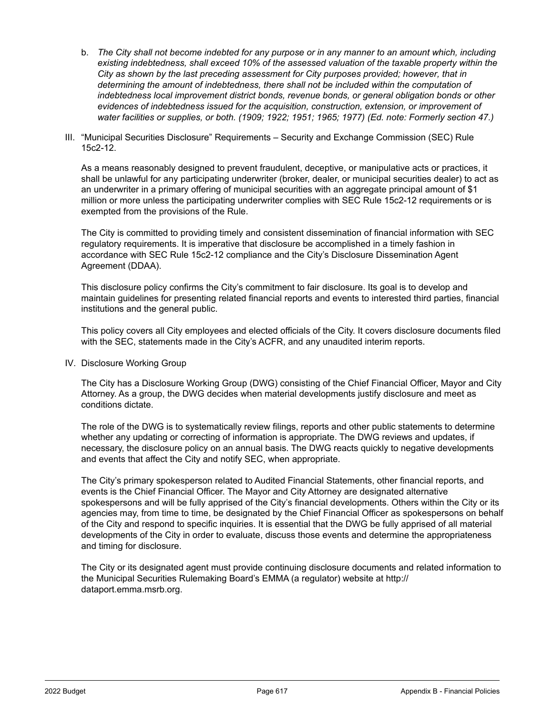- b. *The City shall not become indebted for any purpose or in any manner to an amount which, including existing indebtedness, shall exceed 10% of the assessed valuation of the taxable property within the City as shown by the last preceding assessment for City purposes provided; however, that in*  determining the amount of indebtedness, there shall not be included within the computation of *indebtedness local improvement district bonds, revenue bonds, or general obligation bonds or other evidences of indebtedness issued for the acquisition, construction, extension, or improvement of water facilities or supplies, or both. (1909; 1922; 1951; 1965; 1977) (Ed. note: Formerly section 47.)*
- III. "Municipal Securities Disclosure" Requirements Security and Exchange Commission (SEC) Rule 15c2-12.

As a means reasonably designed to prevent fraudulent, deceptive, or manipulative acts or practices, it shall be unlawful for any participating underwriter (broker, dealer, or municipal securities dealer) to act as an underwriter in a primary offering of municipal securities with an aggregate principal amount of \$1 million or more unless the participating underwriter complies with SEC Rule 15c2-12 requirements or is exempted from the provisions of the Rule.

The City is committed to providing timely and consistent dissemination of financial information with SEC regulatory requirements. It is imperative that disclosure be accomplished in a timely fashion in accordance with SEC Rule 15c2-12 compliance and the City's Disclosure Dissemination Agent Agreement (DDAA).

This disclosure policy confirms the City's commitment to fair disclosure. Its goal is to develop and maintain guidelines for presenting related financial reports and events to interested third parties, financial institutions and the general public.

This policy covers all City employees and elected officials of the City. It covers disclosure documents filed with the SEC, statements made in the City's ACFR, and any unaudited interim reports.

IV. Disclosure Working Group

The City has a Disclosure Working Group (DWG) consisting of the Chief Financial Officer, Mayor and City Attorney. As a group, the DWG decides when material developments justify disclosure and meet as conditions dictate.

The role of the DWG is to systematically review filings, reports and other public statements to determine whether any updating or correcting of information is appropriate. The DWG reviews and updates, if necessary, the disclosure policy on an annual basis. The DWG reacts quickly to negative developments and events that affect the City and notify SEC, when appropriate.

The City's primary spokesperson related to Audited Financial Statements, other financial reports, and events is the Chief Financial Officer. The Mayor and City Attorney are designated alternative spokespersons and will be fully apprised of the City's financial developments. Others within the City or its agencies may, from time to time, be designated by the Chief Financial Officer as spokespersons on behalf of the City and respond to specific inquiries. It is essential that the DWG be fully apprised of all material developments of the City in order to evaluate, discuss those events and determine the appropriateness and timing for disclosure.

The City or its designated agent must provide continuing disclosure documents and related information to the Municipal Securities Rulemaking Board's EMMA (a regulator) website at http:// dataport.emma.msrb.org.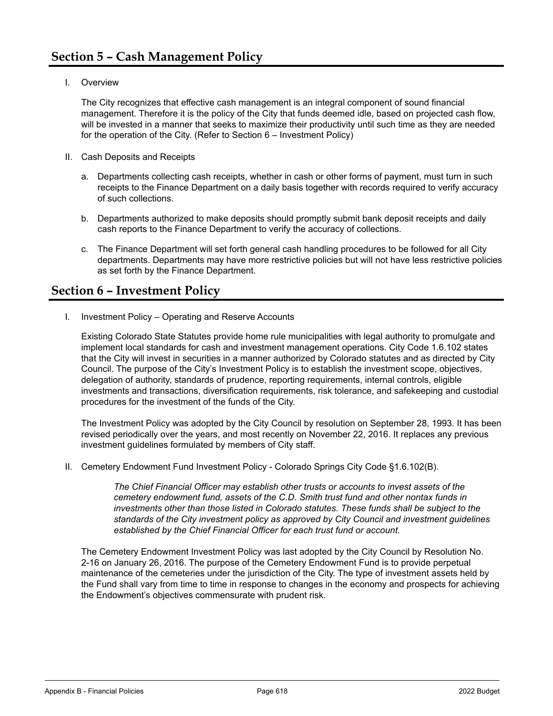I. Overview

The City recognizes that effective cash management is an integral component of sound financial management. Therefore it is the policy of the City that funds deemed idle, based on projected cash flow, will be invested in a manner that seeks to maximize their productivity until such time as they are needed for the operation of the City. (Refer to Section 6 – Investment Policy)

- II. Cash Deposits and Receipts
	- a. Departments collecting cash receipts, whether in cash or other forms of payment, must turn in such receipts to the Finance Department on a daily basis together with records required to verify accuracy of such collections.
	- b. Departments authorized to make deposits should promptly submit bank deposit receipts and daily cash reports to the Finance Department to verify the accuracy of collections.
	- c. The Finance Department will set forth general cash handling procedures to be followed for all City departments. Departments may have more restrictive policies but will not have less restrictive policies as set forth by the Finance Department.

## **Section 6 – Investment Policy**

I. Investment Policy – Operating and Reserve Accounts

Existing Colorado State Statutes provide home rule municipalities with legal authority to promulgate and implement local standards for cash and investment management operations. City Code 1.6.102 states that the City will invest in securities in a manner authorized by Colorado statutes and as directed by City Council. The purpose of the City's Investment Policy is to establish the investment scope, objectives, delegation of authority, standards of prudence, reporting requirements, internal controls, eligible investments and transactions, diversification requirements, risk tolerance, and safekeeping and custodial procedures for the investment of the funds of the City.

The Investment Policy was adopted by the City Council by resolution on September 28, 1993. It has been revised periodically over the years, and most recently on November 22, 2016. It replaces any previous investment guidelines formulated by members of City staff.

II. Cemetery Endowment Fund Investment Policy - Colorado Springs City Code §1.6.102(B).

*The Chief Financial Officer may establish other trusts or accounts to invest assets of the cemetery endowment fund, assets of the C.D. Smith trust fund and other nontax funds in*  investments other than those listed in Colorado statutes. These funds shall be subject to the *standards of the City investment policy as approved by City Council and investment guidelines established by the Chief Financial Officer for each trust fund or account.*

The Cemetery Endowment Investment Policy was last adopted by the City Council by Resolution No. 2-16 on January 26, 2016. The purpose of the Cemetery Endowment Fund is to provide perpetual maintenance of the cemeteries under the jurisdiction of the City. The type of investment assets held by the Fund shall vary from time to time in response to changes in the economy and prospects for achieving the Endowment's objectives commensurate with prudent risk.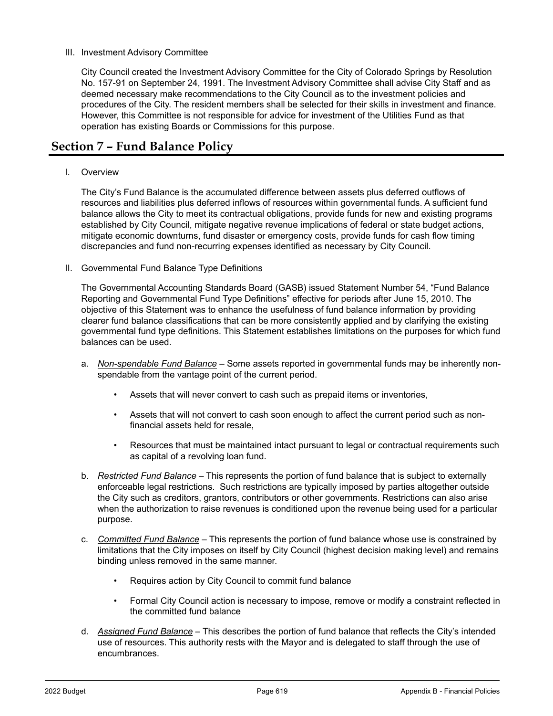#### III. Investment Advisory Committee

City Council created the Investment Advisory Committee for the City of Colorado Springs by Resolution No. 157-91 on September 24, 1991. The Investment Advisory Committee shall advise City Staff and as deemed necessary make recommendations to the City Council as to the investment policies and procedures of the City. The resident members shall be selected for their skills in investment and finance. However, this Committee is not responsible for advice for investment of the Utilities Fund as that operation has existing Boards or Commissions for this purpose.

## **Section 7 – Fund Balance Policy**

#### I. Overview

The City's Fund Balance is the accumulated difference between assets plus deferred outflows of resources and liabilities plus deferred inflows of resources within governmental funds. A sufficient fund balance allows the City to meet its contractual obligations, provide funds for new and existing programs established by City Council, mitigate negative revenue implications of federal or state budget actions, mitigate economic downturns, fund disaster or emergency costs, provide funds for cash flow timing discrepancies and fund non-recurring expenses identified as necessary by City Council.

#### II. Governmental Fund Balance Type Definitions

The Governmental Accounting Standards Board (GASB) issued Statement Number 54, "Fund Balance Reporting and Governmental Fund Type Definitions" effective for periods after June 15, 2010. The objective of this Statement was to enhance the usefulness of fund balance information by providing clearer fund balance classifications that can be more consistently applied and by clarifying the existing governmental fund type definitions. This Statement establishes limitations on the purposes for which fund balances can be used.

- a. *Non-spendable Fund Balance* Some assets reported in governmental funds may be inherently nonspendable from the vantage point of the current period.
	- Assets that will never convert to cash such as prepaid items or inventories,
	- Assets that will not convert to cash soon enough to affect the current period such as nonfinancial assets held for resale,
	- Resources that must be maintained intact pursuant to legal or contractual requirements such as capital of a revolving loan fund.
- b. *Restricted Fund Balance* This represents the portion of fund balance that is subject to externally enforceable legal restrictions. Such restrictions are typically imposed by parties altogether outside the City such as creditors, grantors, contributors or other governments. Restrictions can also arise when the authorization to raise revenues is conditioned upon the revenue being used for a particular purpose.
- c. *Committed Fund Balance* This represents the portion of fund balance whose use is constrained by limitations that the City imposes on itself by City Council (highest decision making level) and remains binding unless removed in the same manner.
	- Requires action by City Council to commit fund balance
	- Formal City Council action is necessary to impose, remove or modify a constraint reflected in the committed fund balance
- d. *Assigned Fund Balance* This describes the portion of fund balance that reflects the City's intended use of resources. This authority rests with the Mayor and is delegated to staff through the use of encumbrances.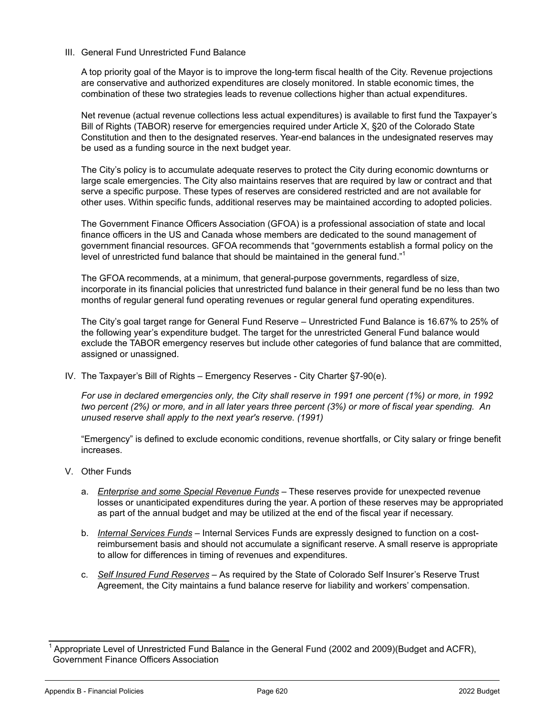#### III. General Fund Unrestricted Fund Balance

A top priority goal of the Mayor is to improve the long-term fiscal health of the City. Revenue projections are conservative and authorized expenditures are closely monitored. In stable economic times, the combination of these two strategies leads to revenue collections higher than actual expenditures.

Net revenue (actual revenue collections less actual expenditures) is available to first fund the Taxpayer's Bill of Rights (TABOR) reserve for emergencies required under Article X, §20 of the Colorado State Constitution and then to the designated reserves. Year-end balances in the undesignated reserves may be used as a funding source in the next budget year.

The City's policy is to accumulate adequate reserves to protect the City during economic downturns or large scale emergencies. The City also maintains reserves that are required by law or contract and that serve a specific purpose. These types of reserves are considered restricted and are not available for other uses. Within specific funds, additional reserves may be maintained according to adopted policies.

The Government Finance Officers Association (GFOA) is a professional association of state and local finance officers in the US and Canada whose members are dedicated to the sound management of government financial resources. GFOA recommends that "governments establish a formal policy on the level of unrestricted fund balance that should be maintained in the general fund."<sup>1</sup>

The GFOA recommends, at a minimum, that general-purpose governments, regardless of size, incorporate in its financial policies that unrestricted fund balance in their general fund be no less than two months of regular general fund operating revenues or regular general fund operating expenditures.

The City's goal target range for General Fund Reserve – Unrestricted Fund Balance is 16.67% to 25% of the following year's expenditure budget. The target for the unrestricted General Fund balance would exclude the TABOR emergency reserves but include other categories of fund balance that are committed, assigned or unassigned.

IV. The Taxpayer's Bill of Rights – Emergency Reserves - City Charter §7-90(e).

*For use in declared emergencies only, the City shall reserve in 1991 one percent (1%) or more, in 1992 two percent (2%) or more, and in all later years three percent (3%) or more of fiscal year spending. An unused reserve shall apply to the next year's reserve. (1991)*

"Emergency" is defined to exclude economic conditions, revenue shortfalls, or City salary or fringe benefit increases.

- V. Other Funds
	- a. *Enterprise and some Special Revenue Funds* These reserves provide for unexpected revenue losses or unanticipated expenditures during the year. A portion of these reserves may be appropriated as part of the annual budget and may be utilized at the end of the fiscal year if necessary.
	- b. *Internal Services Funds* Internal Services Funds are expressly designed to function on a costreimbursement basis and should not accumulate a significant reserve. A small reserve is appropriate to allow for differences in timing of revenues and expenditures.
	- c. *Self Insured Fund Reserves* As required by the State of Colorado Self Insurer's Reserve Trust Agreement, the City maintains a fund balance reserve for liability and workers' compensation.

<sup>1</sup> Appropriate Level of Unrestricted Fund Balance in the General Fund (2002 and 2009)(Budget and ACFR), Government Finance Officers Association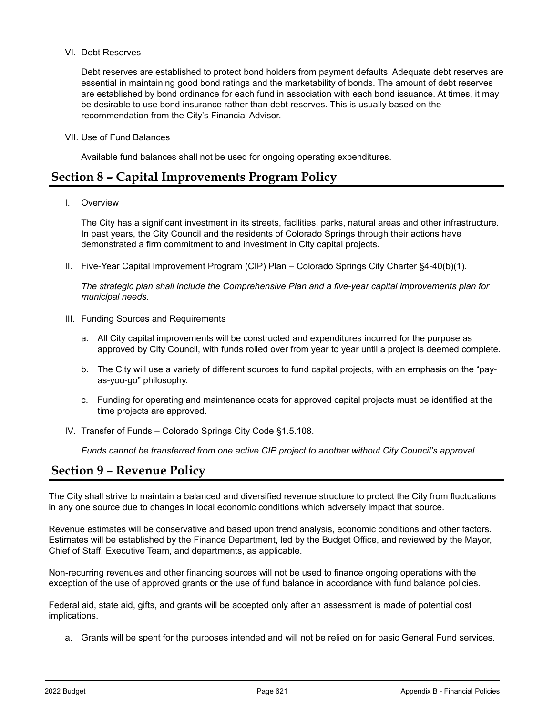#### VI. Debt Reserves

Debt reserves are established to protect bond holders from payment defaults. Adequate debt reserves are essential in maintaining good bond ratings and the marketability of bonds. The amount of debt reserves are established by bond ordinance for each fund in association with each bond issuance. At times, it may be desirable to use bond insurance rather than debt reserves. This is usually based on the recommendation from the City's Financial Advisor.

VII. Use of Fund Balances

Available fund balances shall not be used for ongoing operating expenditures.

### **Section 8 – Capital Improvements Program Policy**

I. Overview

The City has a significant investment in its streets, facilities, parks, natural areas and other infrastructure. In past years, the City Council and the residents of Colorado Springs through their actions have demonstrated a firm commitment to and investment in City capital projects.

II. Five-Year Capital Improvement Program (CIP) Plan – Colorado Springs City Charter §4-40(b)(1).

*The strategic plan shall include the Comprehensive Plan and a five-year capital improvements plan for municipal needs.*

- III. Funding Sources and Requirements
	- a. All City capital improvements will be constructed and expenditures incurred for the purpose as approved by City Council, with funds rolled over from year to year until a project is deemed complete.
	- b. The City will use a variety of different sources to fund capital projects, with an emphasis on the "payas-you-go" philosophy.
	- c. Funding for operating and maintenance costs for approved capital projects must be identified at the time projects are approved.
- IV. Transfer of Funds Colorado Springs City Code §1.5.108.

*Funds cannot be transferred from one active CIP project to another without City Council's approval.*

## **Section 9 – Revenue Policy**

The City shall strive to maintain a balanced and diversified revenue structure to protect the City from fluctuations in any one source due to changes in local economic conditions which adversely impact that source.

Revenue estimates will be conservative and based upon trend analysis, economic conditions and other factors. Estimates will be established by the Finance Department, led by the Budget Office, and reviewed by the Mayor, Chief of Staff, Executive Team, and departments, as applicable.

Non-recurring revenues and other financing sources will not be used to finance ongoing operations with the exception of the use of approved grants or the use of fund balance in accordance with fund balance policies.

Federal aid, state aid, gifts, and grants will be accepted only after an assessment is made of potential cost implications.

a. Grants will be spent for the purposes intended and will not be relied on for basic General Fund services.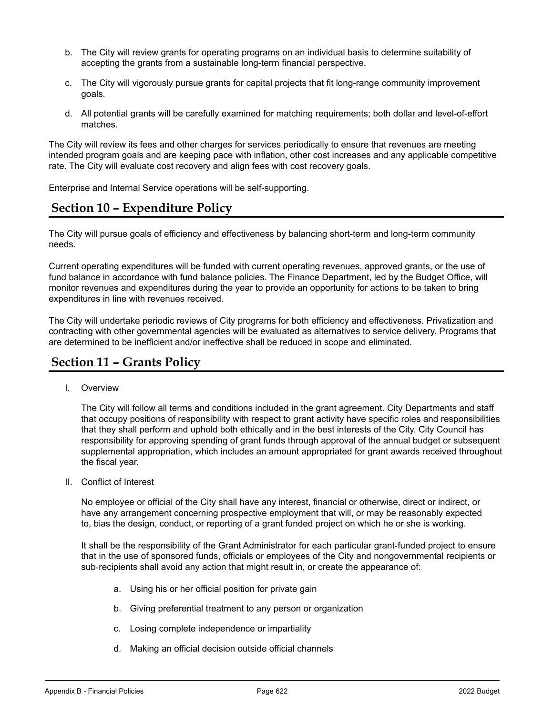- b. The City will review grants for operating programs on an individual basis to determine suitability of accepting the grants from a sustainable long-term financial perspective.
- c. The City will vigorously pursue grants for capital projects that fit long-range community improvement goals.
- d. All potential grants will be carefully examined for matching requirements; both dollar and level-of-effort matches.

The City will review its fees and other charges for services periodically to ensure that revenues are meeting intended program goals and are keeping pace with inflation, other cost increases and any applicable competitive rate. The City will evaluate cost recovery and align fees with cost recovery goals.

Enterprise and Internal Service operations will be self-supporting.

# **Section 10 – Expenditure Policy**

The City will pursue goals of efficiency and effectiveness by balancing short-term and long-term community needs.

Current operating expenditures will be funded with current operating revenues, approved grants, or the use of fund balance in accordance with fund balance policies. The Finance Department, led by the Budget Office, will monitor revenues and expenditures during the year to provide an opportunity for actions to be taken to bring expenditures in line with revenues received.

The City will undertake periodic reviews of City programs for both efficiency and effectiveness. Privatization and contracting with other governmental agencies will be evaluated as alternatives to service delivery. Programs that are determined to be inefficient and/or ineffective shall be reduced in scope and eliminated.

# **Section 11 – Grants Policy**

I. Overview

The City will follow all terms and conditions included in the grant agreement. City Departments and staff that occupy positions of responsibility with respect to grant activity have specific roles and responsibilities that they shall perform and uphold both ethically and in the best interests of the City. City Council has responsibility for approving spending of grant funds through approval of the annual budget or subsequent supplemental appropriation, which includes an amount appropriated for grant awards received throughout the fiscal year.

II. Conflict of Interest

No employee or official of the City shall have any interest, financial or otherwise, direct or indirect, or have any arrangement concerning prospective employment that will, or may be reasonably expected to, bias the design, conduct, or reporting of a grant funded project on which he or she is working.

It shall be the responsibility of the Grant Administrator for each particular grant-funded project to ensure that in the use of sponsored funds, officials or employees of the City and nongovernmental recipients or sub-recipients shall avoid any action that might result in, or create the appearance of:

- a. Using his or her official position for private gain
- b. Giving preferential treatment to any person or organization
- c. Losing complete independence or impartiality
- d. Making an official decision outside official channels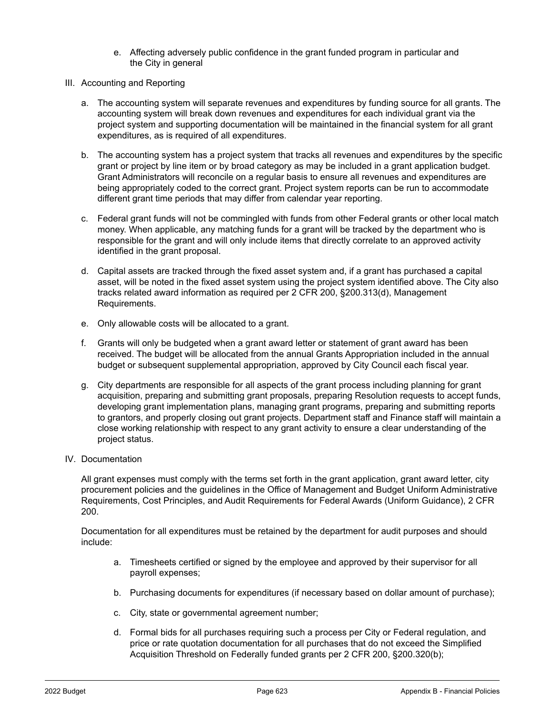- e. Affecting adversely public confidence in the grant funded program in particular and the City in general
- III. Accounting and Reporting
	- a. The accounting system will separate revenues and expenditures by funding source for all grants. The accounting system will break down revenues and expenditures for each individual grant via the project system and supporting documentation will be maintained in the financial system for all grant expenditures, as is required of all expenditures.
	- b. The accounting system has a project system that tracks all revenues and expenditures by the specific grant or project by line item or by broad category as may be included in a grant application budget. Grant Administrators will reconcile on a regular basis to ensure all revenues and expenditures are being appropriately coded to the correct grant. Project system reports can be run to accommodate different grant time periods that may differ from calendar year reporting.
	- c. Federal grant funds will not be commingled with funds from other Federal grants or other local match money. When applicable, any matching funds for a grant will be tracked by the department who is responsible for the grant and will only include items that directly correlate to an approved activity identified in the grant proposal.
	- d. Capital assets are tracked through the fixed asset system and, if a grant has purchased a capital asset, will be noted in the fixed asset system using the project system identified above. The City also tracks related award information as required per 2 CFR 200, §200.313(d), Management Requirements.
	- e. Only allowable costs will be allocated to a grant.
	- f. Grants will only be budgeted when a grant award letter or statement of grant award has been received. The budget will be allocated from the annual Grants Appropriation included in the annual budget or subsequent supplemental appropriation, approved by City Council each fiscal year.
	- g. City departments are responsible for all aspects of the grant process including planning for grant acquisition, preparing and submitting grant proposals, preparing Resolution requests to accept funds, developing grant implementation plans, managing grant programs, preparing and submitting reports to grantors, and properly closing out grant projects. Department staff and Finance staff will maintain a close working relationship with respect to any grant activity to ensure a clear understanding of the project status.
- IV. Documentation

All grant expenses must comply with the terms set forth in the grant application, grant award letter, city procurement policies and the guidelines in the Office of Management and Budget Uniform Administrative Requirements, Cost Principles, and Audit Requirements for Federal Awards (Uniform Guidance), 2 CFR 200.

Documentation for all expenditures must be retained by the department for audit purposes and should include:

- a. Timesheets certified or signed by the employee and approved by their supervisor for all payroll expenses;
- b. Purchasing documents for expenditures (if necessary based on dollar amount of purchase);
- c. City, state or governmental agreement number;
- d. Formal bids for all purchases requiring such a process per City or Federal regulation, and price or rate quotation documentation for all purchases that do not exceed the Simplified Acquisition Threshold on Federally funded grants per 2 CFR 200, §200.320(b);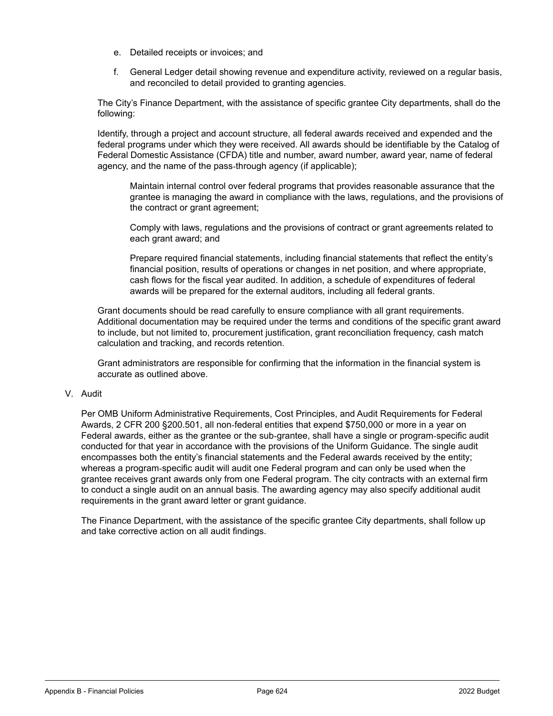- e. Detailed receipts or invoices; and
- f. General Ledger detail showing revenue and expenditure activity, reviewed on a regular basis, and reconciled to detail provided to granting agencies.

The City's Finance Department, with the assistance of specific grantee City departments, shall do the following:

Identify, through a project and account structure, all federal awards received and expended and the federal programs under which they were received. All awards should be identifiable by the Catalog of Federal Domestic Assistance (CFDA) title and number, award number, award year, name of federal agency, and the name of the pass-through agency (if applicable);

Maintain internal control over federal programs that provides reasonable assurance that the grantee is managing the award in compliance with the laws, regulations, and the provisions of the contract or grant agreement;

Comply with laws, regulations and the provisions of contract or grant agreements related to each grant award; and

Prepare required financial statements, including financial statements that reflect the entity's financial position, results of operations or changes in net position, and where appropriate, cash flows for the fiscal year audited. In addition, a schedule of expenditures of federal awards will be prepared for the external auditors, including all federal grants.

Grant documents should be read carefully to ensure compliance with all grant requirements. Additional documentation may be required under the terms and conditions of the specific grant award to include, but not limited to, procurement justification, grant reconciliation frequency, cash match calculation and tracking, and records retention.

Grant administrators are responsible for confirming that the information in the financial system is accurate as outlined above.

#### V. Audit

Per OMB Uniform Administrative Requirements, Cost Principles, and Audit Requirements for Federal Awards, 2 CFR 200 §200.501, all non‑federal entities that expend \$750,000 or more in a year on Federal awards, either as the grantee or the sub‑grantee, shall have a single or program‑specific audit conducted for that year in accordance with the provisions of the Uniform Guidance. The single audit encompasses both the entity's financial statements and the Federal awards received by the entity; whereas a program‑specific audit will audit one Federal program and can only be used when the grantee receives grant awards only from one Federal program. The city contracts with an external firm to conduct a single audit on an annual basis. The awarding agency may also specify additional audit requirements in the grant award letter or grant guidance.

The Finance Department, with the assistance of the specific grantee City departments, shall follow up and take corrective action on all audit findings.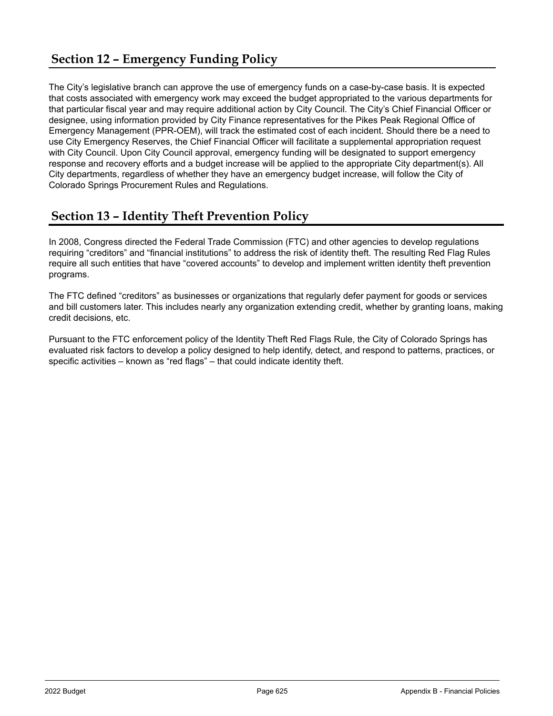The City's legislative branch can approve the use of emergency funds on a case-by-case basis. It is expected that costs associated with emergency work may exceed the budget appropriated to the various departments for that particular fiscal year and may require additional action by City Council. The City's Chief Financial Officer or designee, using information provided by City Finance representatives for the Pikes Peak Regional Office of Emergency Management (PPR-OEM), will track the estimated cost of each incident. Should there be a need to use City Emergency Reserves, the Chief Financial Officer will facilitate a supplemental appropriation request with City Council. Upon City Council approval, emergency funding will be designated to support emergency response and recovery efforts and a budget increase will be applied to the appropriate City department(s). All City departments, regardless of whether they have an emergency budget increase, will follow the City of Colorado Springs Procurement Rules and Regulations.

# **Section 13 – Identity Theft Prevention Policy**

In 2008, Congress directed the Federal Trade Commission (FTC) and other agencies to develop regulations requiring "creditors" and "financial institutions" to address the risk of identity theft. The resulting Red Flag Rules require all such entities that have "covered accounts" to develop and implement written identity theft prevention programs.

The FTC defined "creditors" as businesses or organizations that regularly defer payment for goods or services and bill customers later. This includes nearly any organization extending credit, whether by granting loans, making credit decisions, etc.

Pursuant to the FTC enforcement policy of the Identity Theft Red Flags Rule, the City of Colorado Springs has evaluated risk factors to develop a policy designed to help identify, detect, and respond to patterns, practices, or specific activities – known as "red flags" – that could indicate identity theft.